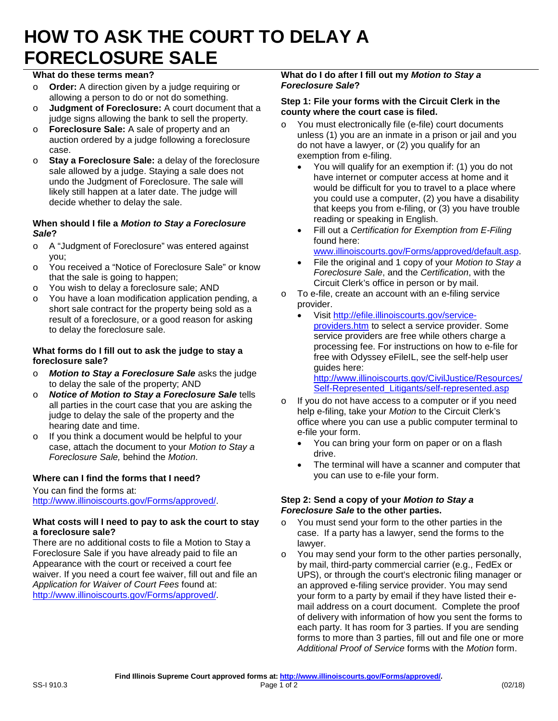# **HOW TO ASK THE COURT TO DELAY A FORECLOSURE SALE**

## **What do these terms mean?**

- o **Order:** A direction given by a judge requiring or allowing a person to do or not do something.
- o **Judgment of Foreclosure:** A court document that a judge signs allowing the bank to sell the property.
- o **Foreclosure Sale:** A sale of property and an auction ordered by a judge following a foreclosure case.
- o **Stay a Foreclosure Sale:** a delay of the foreclosure sale allowed by a judge. Staying a sale does not undo the Judgment of Foreclosure. The sale will likely still happen at a later date. The judge will decide whether to delay the sale.

#### **When should I file a** *Motion to Stay a Foreclosure Sale***?**

- o A "Judgment of Foreclosure" was entered against you;
- o You received a "Notice of Foreclosure Sale" or know that the sale is going to happen;
- o You wish to delay a foreclosure sale; AND
- o You have a loan modification application pending, a short sale contract for the property being sold as a result of a foreclosure, or a good reason for asking to delay the foreclosure sale.

## **What forms do I fill out to ask the judge to stay a foreclosure sale?**

- o *Motion to Stay a Foreclosure Sale* asks the judge to delay the sale of the property; AND
- o *Notice of Motion to Stay a Foreclosure Sale* tells all parties in the court case that you are asking the judge to delay the sale of the property and the hearing date and time.
- o If you think a document would be helpful to your case, attach the document to your *Motion to Stay a Foreclosure Sale,* behind the *Motion*.

# **Where can I find the forms that I need?**

# You can find the forms at:

http://www.illinoiscourts.gov/Forms/approved/.

#### **What costs will I need to pay to ask the court to stay a foreclosure sale?**

There are no additional costs to file a Motion to Stay a Foreclosure Sale if you have already paid to file an Appearance with the court or received a court fee waiver. If you need a court fee waiver, fill out and file an *Application for Waiver of Court Fees* found at: http://www.illinoiscourts.gov/Forms/approved/.

## **What do I do after I fill out my** *Motion to Stay a Foreclosure Sale***?**

## **Step 1: File your forms with the Circuit Clerk in the county where the court case is filed.**

- You must electronically file (e-file) court documents unless (1) you are an inmate in a prison or jail and you do not have a lawyer, or (2) you qualify for an exemption from e-filing.
	- You will qualify for an exemption if: (1) you do not have internet or computer access at home and it would be difficult for you to travel to a place where you could use a computer, (2) you have a disability that keeps you from e-filing, or (3) you have trouble reading or speaking in English.
	- Fill out a *Certification for Exemption from E-Filing*  found here:

www.illinoiscourts.gov/Forms/approved/default.asp.

- File the original and 1 copy of your *Motion to Stay a Foreclosure Sale*, and the *Certification*, with the Circuit Clerk's office in person or by mail.
- o To e-file, create an account with an e-filing service provider.
	- Visit http://efile.illinoiscourts.gov/serviceproviders.htm to select a service provider. Some service providers are free while others charge a processing fee. For instructions on how to e-file for free with Odyssey eFileIL, see the self-help user guides here: http://www.illinoiscourts.gov/CivilJustice/Resources/

Self-Represented\_Litigants/self-represented.asp

- o If you do not have access to a computer or if you need help e-filing, take your *Motion* to the Circuit Clerk's office where you can use a public computer terminal to e-file your form.
	- You can bring your form on paper or on a flash drive.
	- The terminal will have a scanner and computer that you can use to e-file your form.

#### **Step 2: Send a copy of your** *Motion to Stay a Foreclosure Sale* **to the other parties.**

- o You must send your form to the other parties in the case. If a party has a lawyer, send the forms to the lawyer.
- o You may send your form to the other parties personally, by mail, third-party commercial carrier (e.g., FedEx or UPS), or through the court's electronic filing manager or an approved e-filing service provider. You may send your form to a party by email if they have listed their email address on a court document. Complete the proof of delivery with information of how you sent the forms to each party. It has room for 3 parties. If you are sending forms to more than 3 parties, fill out and file one or more *Additional Proof of Service* forms with the *Motion* form.